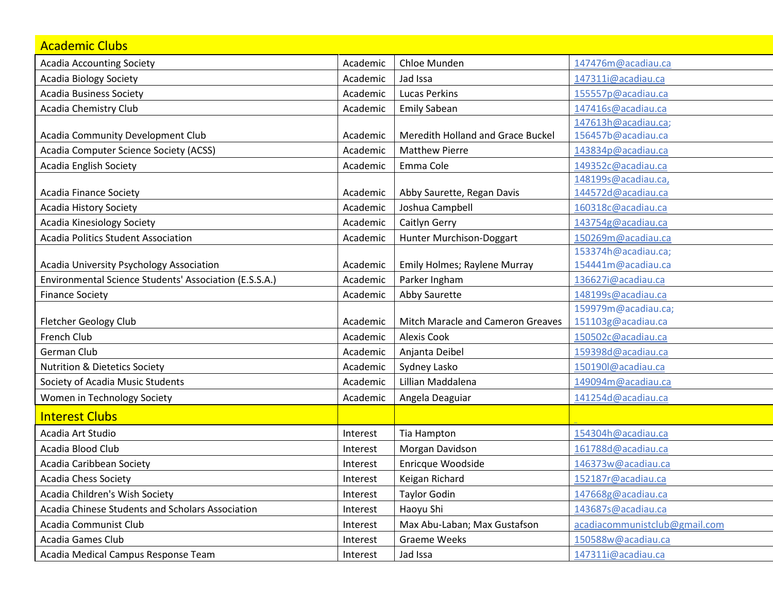| <b>Academic Clubs</b>                                  |          |                                   |                                           |
|--------------------------------------------------------|----------|-----------------------------------|-------------------------------------------|
| <b>Acadia Accounting Society</b>                       | Academic | Chloe Munden                      | 147476m@acadiau.ca                        |
| <b>Acadia Biology Society</b>                          | Academic | Jad Issa                          | 147311i@acadiau.ca                        |
| <b>Acadia Business Society</b>                         | Academic | <b>Lucas Perkins</b>              | 155557p@acadiau.ca                        |
| Acadia Chemistry Club                                  | Academic | <b>Emily Sabean</b>               | 147416s@acadiau.ca                        |
|                                                        |          |                                   | 147613h@acadiau.ca;                       |
| Acadia Community Development Club                      | Academic | Meredith Holland and Grace Buckel | 156457b@acadiau.ca                        |
| Acadia Computer Science Society (ACSS)                 | Academic | <b>Matthew Pierre</b>             | 143834p@acadiau.ca                        |
| <b>Acadia English Society</b>                          | Academic | Emma Cole                         | 149352c@acadiau.ca                        |
|                                                        |          |                                   | 148199s@acadiau.ca,                       |
| <b>Acadia Finance Society</b>                          | Academic | Abby Saurette, Regan Davis        | 144572d@acadiau.ca                        |
| Acadia History Society                                 | Academic | Joshua Campbell                   | 160318c@acadiau.ca                        |
| <b>Acadia Kinesiology Society</b>                      | Academic | Caitlyn Gerry                     | 143754g@acadiau.ca                        |
| <b>Acadia Politics Student Association</b>             | Academic | Hunter Murchison-Doggart          | 150269m@acadiau.ca                        |
| Acadia University Psychology Association               | Academic | Emily Holmes; Raylene Murray      | 153374h@acadiau.ca;<br>154441m@acadiau.ca |
| Environmental Science Students' Association (E.S.S.A.) | Academic | Parker Ingham                     | 136627i@acadiau.ca                        |
| <b>Finance Society</b>                                 | Academic | Abby Saurette                     | 148199s@acadiau.ca                        |
|                                                        |          |                                   | 159979m@acadiau.ca;                       |
| <b>Fletcher Geology Club</b>                           | Academic | Mitch Maracle and Cameron Greaves | 151103g@acadiau.ca                        |
| French Club                                            | Academic | <b>Alexis Cook</b>                | 150502c@acadiau.ca                        |
| German Club                                            | Academic | Anjanta Deibel                    | 159398d@acadiau.ca                        |
| <b>Nutrition &amp; Dietetics Society</b>               | Academic | Sydney Lasko                      | 150190l@acadiau.ca                        |
| Society of Acadia Music Students                       | Academic | Lillian Maddalena                 | 149094m@acadiau.ca                        |
| Women in Technology Society                            | Academic | Angela Deaguiar                   | 141254d@acadiau.ca                        |
| <b>Interest Clubs</b>                                  |          |                                   |                                           |
| Acadia Art Studio                                      | Interest | Tia Hampton                       | 154304h@acadiau.ca                        |
| Acadia Blood Club                                      | Interest | Morgan Davidson                   | 161788d@acadiau.ca                        |
| Acadia Caribbean Society                               | Interest | Enricque Woodside                 | 146373w@acadiau.ca                        |
| Acadia Chess Society                                   | Interest | Keigan Richard                    | 152187r@acadiau.ca                        |
| Acadia Children's Wish Society                         | Interest | <b>Taylor Godin</b>               | 147668g@acadiau.ca                        |
| Acadia Chinese Students and Scholars Association       | Interest | Haoyu Shi                         | 143687s@acadiau.ca                        |
| Acadia Communist Club                                  | Interest | Max Abu-Laban; Max Gustafson      | acadiacommunistclub@gmail.com             |
| Acadia Games Club                                      | Interest | <b>Graeme Weeks</b>               | 150588w@acadiau.ca                        |
| Acadia Medical Campus Response Team                    | Interest | Jad Issa                          | 147311i@acadiau.ca                        |